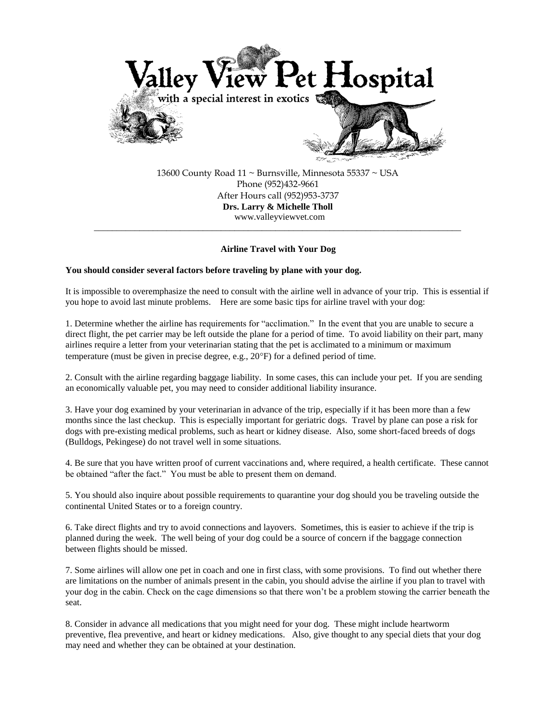

13600 County Road 11 ~ Burnsville, Minnesota 55337 ~ USA Phone (952)432-9661 After Hours call (952)953-3737 **Drs. Larry & Michelle Tholl**  www.valleyviewvet.com

## **Airline Travel with Your Dog**

\_\_\_\_\_\_\_\_\_\_\_\_\_\_\_\_\_\_\_\_\_\_\_\_\_\_\_\_\_\_\_\_\_\_\_\_\_\_\_\_\_\_\_\_\_\_\_\_\_\_\_\_\_\_\_\_\_\_\_\_\_\_\_\_\_\_\_\_\_\_\_\_\_\_\_\_\_\_\_\_\_

# **You should consider several factors before traveling by plane with your dog.**

It is impossible to overemphasize the need to consult with the airline well in advance of your trip. This is essential if you hope to avoid last minute problems. Here are some basic tips for airline travel with your dog:

1. Determine whether the airline has requirements for "acclimation." In the event that you are unable to secure a direct flight, the pet carrier may be left outside the plane for a period of time. To avoid liability on their part, many airlines require a letter from your veterinarian stating that the pet is acclimated to a minimum or maximum temperature (must be given in precise degree, e.g.,  $20^{\circ}$ F) for a defined period of time.

2. Consult with the airline regarding baggage liability. In some cases, this can include your pet. If you are sending an economically valuable pet, you may need to consider additional liability insurance.

3. Have your dog examined by your veterinarian in advance of the trip, especially if it has been more than a few months since the last checkup. This is especially important for geriatric dogs. Travel by plane can pose a risk for dogs with pre-existing medical problems, such as heart or kidney disease. Also, some short-faced breeds of dogs (Bulldogs, Pekingese) do not travel well in some situations.

4. Be sure that you have written proof of current vaccinations and, where required, a health certificate. These cannot be obtained "after the fact." You must be able to present them on demand.

5. You should also inquire about possible requirements to quarantine your dog should you be traveling outside the continental United States or to a foreign country.

6. Take direct flights and try to avoid connections and layovers. Sometimes, this is easier to achieve if the trip is planned during the week. The well being of your dog could be a source of concern if the baggage connection between flights should be missed.

7. Some airlines will allow one pet in coach and one in first class, with some provisions. To find out whether there are limitations on the number of animals present in the cabin, you should advise the airline if you plan to travel with your dog in the cabin. Check on the cage dimensions so that there won't be a problem stowing the carrier beneath the seat.

8. Consider in advance all medications that you might need for your dog. These might include heartworm preventive, flea preventive, and heart or kidney medications. Also, give thought to any special diets that your dog may need and whether they can be obtained at your destination.